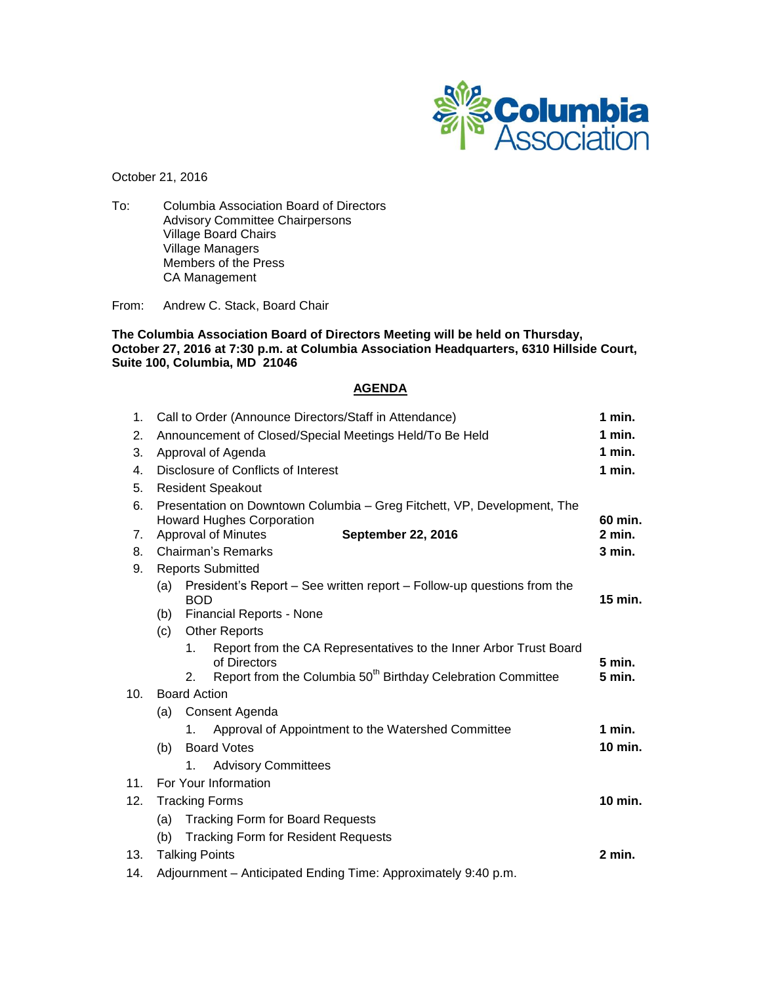

October 21, 2016

To: Columbia Association Board of Directors Advisory Committee Chairpersons Village Board Chairs Village Managers Members of the Press CA Management

From: Andrew C. Stack, Board Chair

**The Columbia Association Board of Directors Meeting will be held on Thursday, October 27, 2016 at 7:30 p.m. at Columbia Association Headquarters, 6310 Hillside Court, Suite 100, Columbia, MD 21046**

# **AGENDA**

| 1 <sub>1</sub> | Call to Order (Announce Directors/Staff in Attendance)                  |                                                                                         |                                                                          | $1$ min.  |  |
|----------------|-------------------------------------------------------------------------|-----------------------------------------------------------------------------------------|--------------------------------------------------------------------------|-----------|--|
| 2.             | Announcement of Closed/Special Meetings Held/To Be Held                 |                                                                                         |                                                                          | $1$ min.  |  |
| 3.             | Approval of Agenda                                                      |                                                                                         |                                                                          | $1$ min.  |  |
| 4.             | Disclosure of Conflicts of Interest                                     |                                                                                         |                                                                          | $1$ min.  |  |
| 5.             |                                                                         | <b>Resident Speakout</b>                                                                |                                                                          |           |  |
| 6.             | Presentation on Downtown Columbia - Greg Fitchett, VP, Development, The |                                                                                         |                                                                          |           |  |
|                | <b>Howard Hughes Corporation</b>                                        |                                                                                         |                                                                          | 60 min.   |  |
| 7.             | <b>September 22, 2016</b><br><b>Approval of Minutes</b>                 |                                                                                         |                                                                          | 2 min.    |  |
| 8.             | <b>Chairman's Remarks</b>                                               |                                                                                         |                                                                          | 3 min.    |  |
| 9.             | <b>Reports Submitted</b>                                                |                                                                                         |                                                                          |           |  |
|                | (a)                                                                     | President's Report – See written report – Follow-up questions from the<br><b>BOD</b>    |                                                                          | $15$ min. |  |
|                | (b)                                                                     | <b>Financial Reports - None</b>                                                         |                                                                          |           |  |
|                | <b>Other Reports</b><br>(c)                                             |                                                                                         |                                                                          |           |  |
|                |                                                                         | Report from the CA Representatives to the Inner Arbor Trust Board<br>1.<br>of Directors |                                                                          |           |  |
|                |                                                                         | 2.                                                                                      | Report from the Columbia 50 <sup>th</sup> Birthday Celebration Committee | 5 min.    |  |
| 10.            | <b>Board Action</b>                                                     |                                                                                         |                                                                          |           |  |
|                | (a)                                                                     |                                                                                         | Consent Agenda                                                           |           |  |
|                |                                                                         | 1.                                                                                      | Approval of Appointment to the Watershed Committee                       | 1 min.    |  |
|                | (b)                                                                     |                                                                                         | <b>Board Votes</b>                                                       |           |  |
|                |                                                                         | 1.                                                                                      | <b>Advisory Committees</b>                                               |           |  |
| 11.            |                                                                         | For Your Information                                                                    |                                                                          |           |  |
| 12.            | <b>Tracking Forms</b>                                                   |                                                                                         |                                                                          | $10$ min. |  |
|                | (a) Tracking Form for Board Requests                                    |                                                                                         |                                                                          |           |  |
|                | <b>Tracking Form for Resident Requests</b><br>(b)                       |                                                                                         |                                                                          |           |  |
| 13.            | <b>Talking Points</b>                                                   |                                                                                         |                                                                          | 2 min.    |  |
| 14.            | Adjournment - Anticipated Ending Time: Approximately 9:40 p.m.          |                                                                                         |                                                                          |           |  |